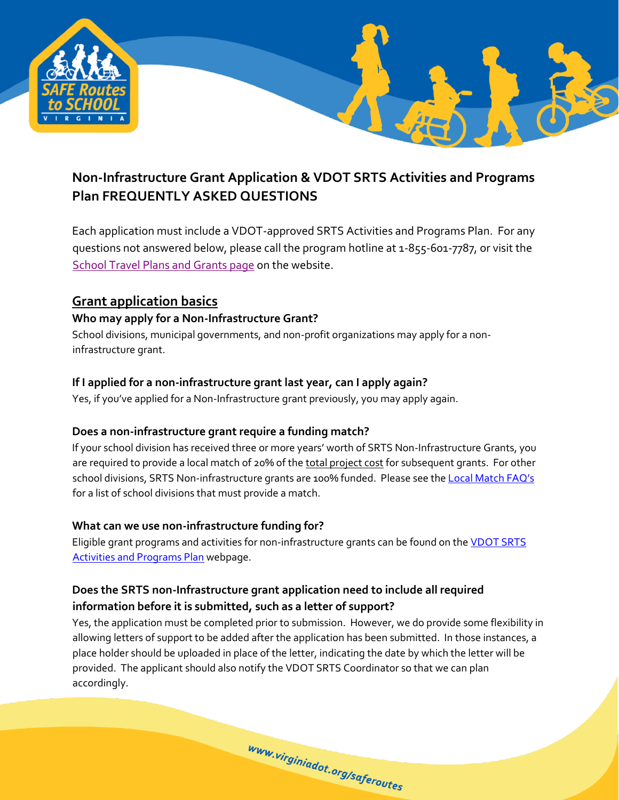

# **Non-Infrastructure Grant Application & VDOT SRTS Activities and Programs Plan FREQUENTLY ASKED QUESTIONS**

Each application must include a VDOT-approved SRTS Activities and Programs Plan. For any questions not answered below, please call the program hotline at 1-855-601-7787, or visit the [School Travel Plans and Grants page](http://www.virginiadot.org/programs/srsm_school_travel_plans_and_grants.asp) on the website.

## **Grant application basics**

#### **Who may apply for a Non-Infrastructure Grant?**

School divisions, municipal governments, and non-profit organizations may apply for a noninfrastructure grant.

#### **If I applied for a non-infrastructure grant last year, can I apply again?**

Yes, if you've applied for a Non-Infrastructure grant previously, you may apply again.

#### **Does a non-infrastructure grant require a funding match?**

If your school division has received three or more years' worth of SRTS Non-Infrastructure Grants, you are required to provide a local match of 20% of the total project cost for subsequent grants. For other school divisions, SRTS Non-infrastructure grants are 100% funded. Please see t[he](http://www.virginiadot.org/programs/srsm_srts_activities_and_programs_plan_app_for_non-infrastructure_grantsactivities_and_programs_plan_non-infrastructure_act.asp) [Local Match FAQ's](http://www.virginiadot.org/programs/resources/srts_assets/VDOT_SRTS_Non-Infrastructure_Grant_Local_Match_FAQs.pdf) for a list of school divisions that must provide a match.

#### **What can we use non-infrastructure funding for?**

Eligible grant programs and activities for non-infrastructure grants can be found on t[he](http://www.virginiadot.org/programs/srsm_srts_activities_and_programs_plan_app_for_non-infrastructure_grantsactivities_and_programs_plan_non-infrastructure_act.asp) [VDOT SRTS](http://www.virginiadot.org/programs/srsm_srts_activities_and_programs_plan_app_for_non-infrastructure_grantsactivities_and_programs_plan_non-infrastructure_act.asp) [Activities and Programs Plan](http://www.virginiadot.org/programs/srsm_srts_activities_and_programs_plan_app_for_non-infrastructure_grantsactivities_and_programs_plan_non-infrastructure_act.asp) webpage.

## **Does the SRTS non-Infrastructure grant application need to include all required information before it is submitted, such as a letter of support?**

Yes, the application must be completed prior to submission. However, we do provide some flexibility in allowing letters of support to be added after the application has been submitted. In those instances, a place holder should be uploaded in place of the letter, indicating the date by which the letter will be provided. The applicant should also notify the VDOT SRTS Coordinator so that we can plan accordingly.

www.virginiadot.org/saferoutes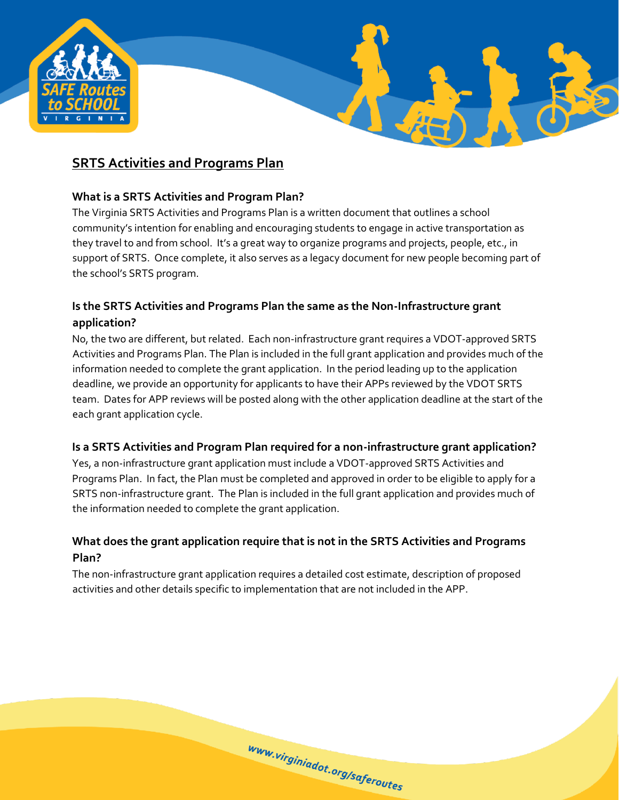

## **SRTS Activities and Programs Plan**

#### **What is a SRTS Activities and Program Plan?**

The Virginia SRTS Activities and Programs Plan is a written document that outlines a school community's intention for enabling and encouraging students to engage in active transportation as they travel to and from school. It's a great way to organize programs and projects, people, etc., in support of SRTS. Once complete, it also serves as a legacy document for new people becoming part of the school's SRTS program.

## **Is the SRTS Activities and Programs Plan the same as the Non-Infrastructure grant application?**

No, the two are different, but related. Each non-infrastructure grant requires a VDOT-approved SRTS Activities and Programs Plan. The Plan is included in the full grant application and provides much of the information needed to complete the grant application. In the period leading up to the application deadline, we provide an opportunity for applicants to have their APPs reviewed by the VDOT SRTS team. Dates for APP reviews will be posted along with the other application deadline at the start of the each grant application cycle.

#### **Is a SRTS Activities and Program Plan required for a non-infrastructure grant application?**

Yes, a non-infrastructure grant application must include a VDOT-approved SRTS Activities and Programs Plan. In fact, the Plan must be completed and approved in order to be eligible to apply for a SRTS non-infrastructure grant. The Plan is included in the full grant application and provides much of the information needed to complete the grant application.

## **What does the grant application require that is not in the SRTS Activities and Programs Plan?**

The non-infrastructure grant application requires a detailed cost estimate, description of proposed activities and other details specific to implementation that are not included in the APP.

www.virginiadot.org/saferoutes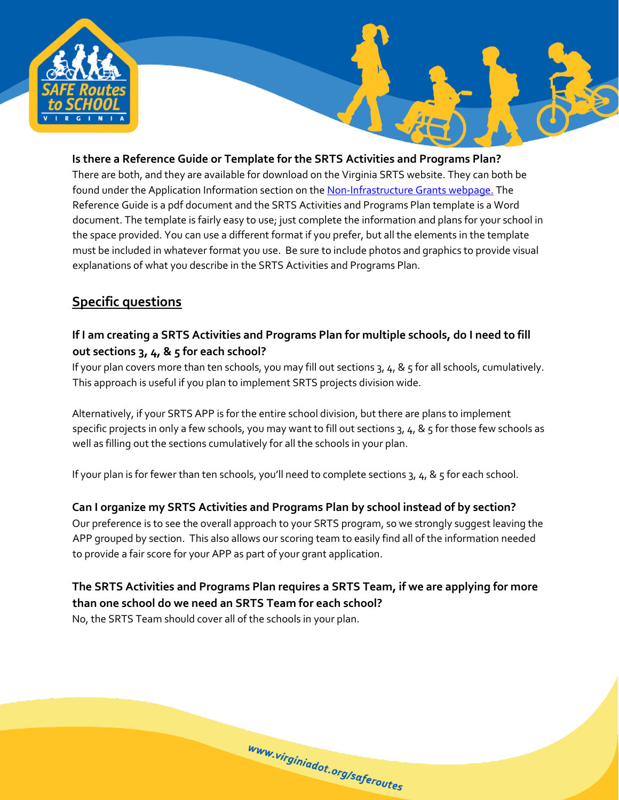

#### **Is there a Reference Guide or Template for the SRTS Activities and Programs Plan?** There are both, and they are available for download on the Virginia SRTS website. They can both be found under the Application Information section on th[e Non-Infrastructure Grants webpage.](http://www.virginiadot.org/programs/srsm_srts_activities_and_programs_plan_app_for_non-infrastructure_grantsactivities_and_programs_plan_non-infrastructure_act.asp) The Reference Guide is a pdf document and the SRTS Activities and Programs Plan template is a Word document. The template is fairly easy to use; just complete the information and plans for your school in

the space provided. You can use a different format if you prefer, but all the elements in the template must be included in whatever format you use. Be sure to include photos and graphics to provide visual explanations of what you describe in the SRTS Activities and Programs Plan.

# **Specific questions**

## **If I am creating a SRTS Activities and Programs Plan for multiple schools, do I need to fill out sections 3, 4, & 5 for each school?**

If your plan covers more than ten schools, you may fill out sections 3, 4, & 5 for all schools, cumulatively. This approach is useful if you plan to implement SRTS projects division wide.

Alternatively, if your SRTS APP is for the entire school division, but there are plans to implement specific projects in only a few schools, you may want to fill out sections 3, 4, & 5 for those few schools as well as filling out the sections cumulatively for all the schools in your plan.

If your plan is for fewer than ten schools, you'll need to complete sections 3, 4, & 5 for each school.

# **Can I organize my SRTS Activities and Programs Plan by school instead of by section?**

Our preference is to see the overall approach to your SRTS program, so we strongly suggest leaving the APP grouped by section. This also allows our scoring team to easily find all of the information needed to provide a fair score for your APP as part of your grant application.

# **The SRTS Activities and Programs Plan requires a SRTS Team, if we are applying for more than one school do we need an SRTS Team for each school?**

www.virginiadot.org/saferoutes

No, the SRTS Team should cover all of the schools in your plan.